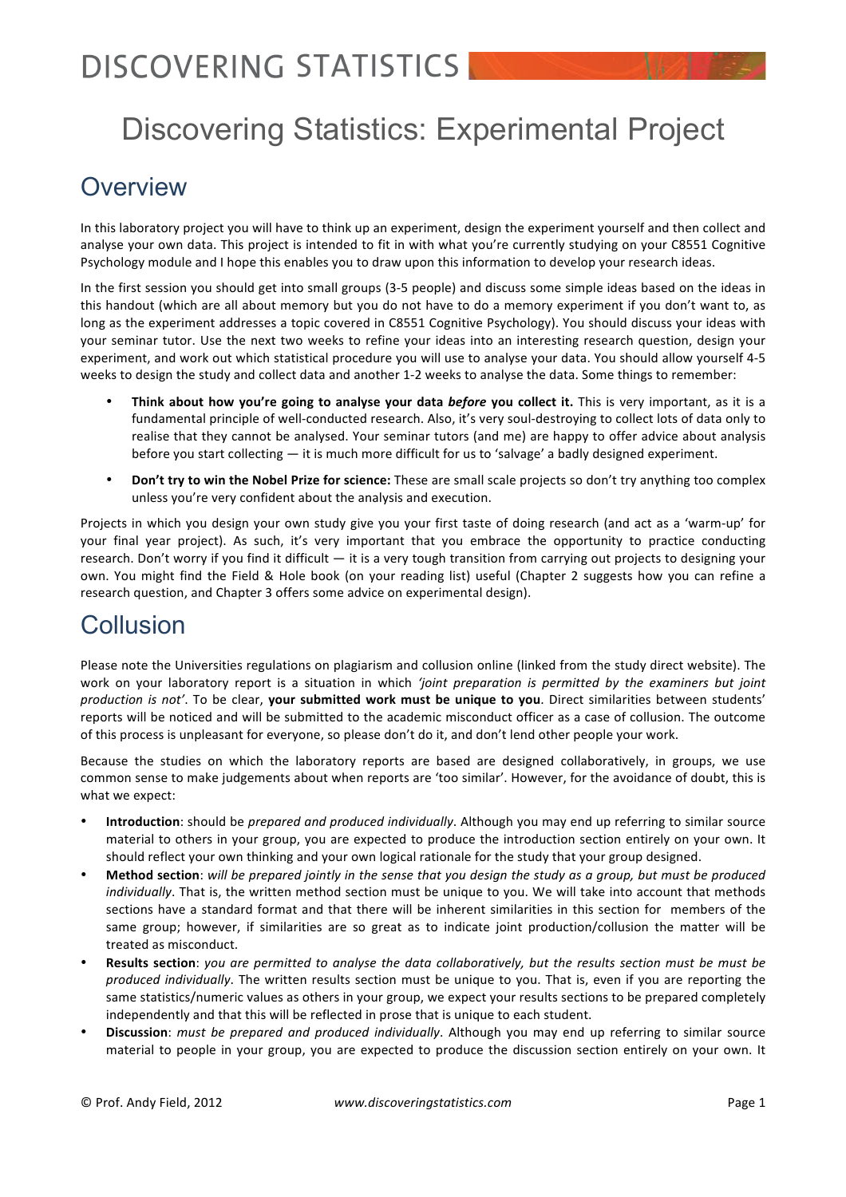# Discovering Statistics: Experimental Project

## **Overview**

In this laboratory project you will have to think up an experiment, design the experiment yourself and then collect and analyse your own data. This project is intended to fit in with what you're currently studying on your C8551 Cognitive Psychology module and I hope this enables you to draw upon this information to develop your research ideas.

In the first session you should get into small groups (3-5 people) and discuss some simple ideas based on the ideas in this handout (which are all about memory but you do not have to do a memory experiment if you don't want to, as long as the experiment addresses a topic covered in C8551 Cognitive Psychology). You should discuss your ideas with your seminar tutor. Use the next two weeks to refine your ideas into an interesting research question, design your experiment, and work out which statistical procedure you will use to analyse your data. You should allow yourself 4-5 weeks to design the study and collect data and another 1-2 weeks to analyse the data. Some things to remember:

- **Think about how you're going to analyse your data** *before* **you collect it.** This is very important, as it is a fundamental principle of well-conducted research. Also, it's very soul-destroying to collect lots of data only to realise that they cannot be analysed. Your seminar tutors (and me) are happy to offer advice about analysis before you start collecting — it is much more difficult for us to 'salvage' a badly designed experiment.
- **Don't try to win the Nobel Prize for science:** These are small scale projects so don't try anything too complex unless you're very confident about the analysis and execution.

Projects in which you design your own study give you your first taste of doing research (and act as a 'warm-up' for your final year project). As such, it's very important that you embrace the opportunity to practice conducting research. Don't worry if you find it difficult — it is a very tough transition from carrying out projects to designing your own. You might find the Field & Hole book (on your reading list) useful (Chapter 2 suggests how you can refine a research question, and Chapter 3 offers some advice on experimental design).

## **Collusion**

Please note the Universities regulations on plagiarism and collusion online (linked from the study direct website). The work on your laboratory report is a situation in which 'joint preparation is permitted by the examiners but joint *production is not'*. To be clear, your submitted work must be unique to you. Direct similarities between students' reports will be noticed and will be submitted to the academic misconduct officer as a case of collusion. The outcome of this process is unpleasant for everyone, so please don't do it, and don't lend other people your work.

Because the studies on which the laboratory reports are based are designed collaboratively, in groups, we use common sense to make judgements about when reports are 'too similar'. However, for the avoidance of doubt, this is what we expect:

- Introduction: should be *prepared and produced individually*. Although you may end up referring to similar source material to others in your group, you are expected to produce the introduction section entirely on your own. It should reflect your own thinking and your own logical rationale for the study that your group designed.
- **Method section**: will be prepared jointly in the sense that you design the study as a group, but must be produced *individually*. That is, the written method section must be unique to you. We will take into account that methods sections have a standard format and that there will be inherent similarities in this section for members of the same group; however, if similarities are so great as to indicate joint production/collusion the matter will be treated as misconduct.
- **Results section**: *you are permitted to analyse the data collaboratively, but the results section must be must be produced individually*. The written results section must be unique to you. That is, even if you are reporting the same statistics/numeric values as others in your group, we expect your results sections to be prepared completely independently and that this will be reflected in prose that is unique to each student.
- **Discussion**: *must be prepared and produced individually*. Although you may end up referring to similar source material to people in your group, you are expected to produce the discussion section entirely on your own. It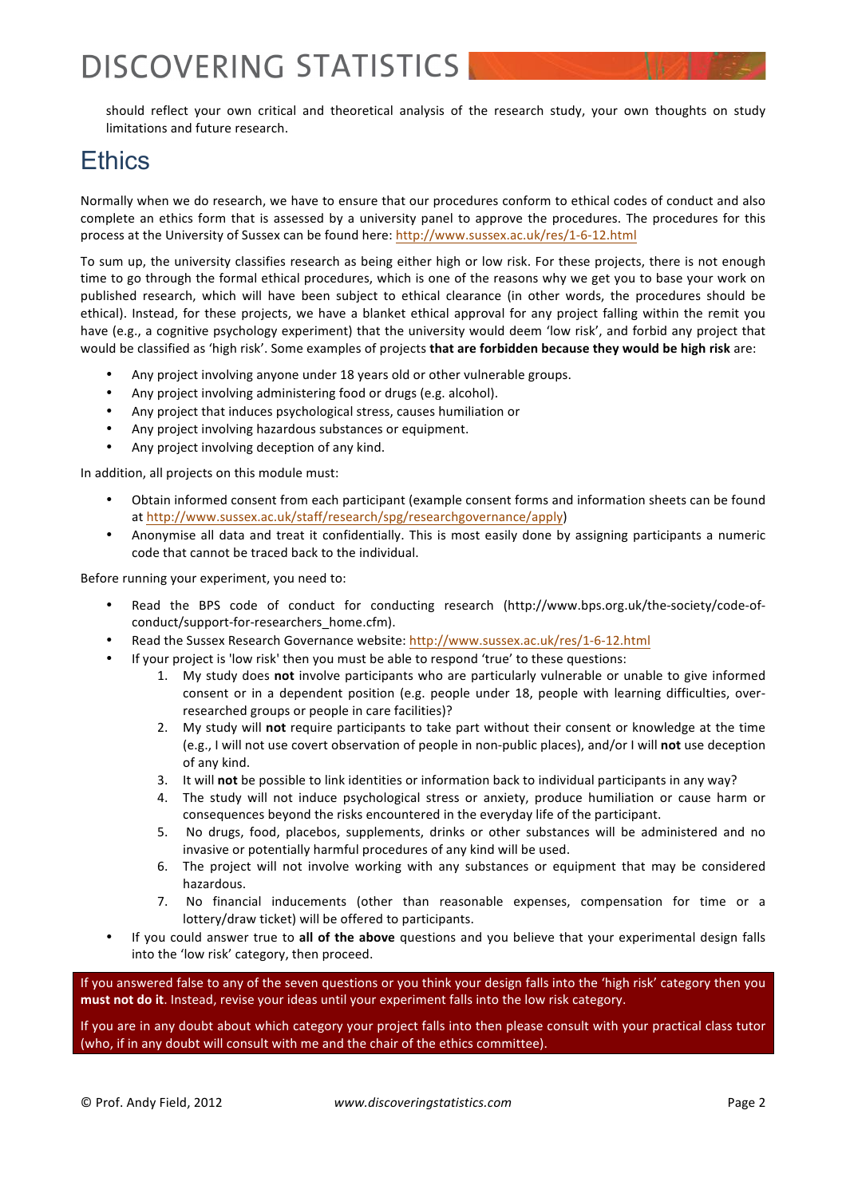should reflect your own critical and theoretical analysis of the research study, your own thoughts on study limitations and future research.

## Ethics

Normally when we do research, we have to ensure that our procedures conform to ethical codes of conduct and also complete an ethics form that is assessed by a university panel to approve the procedures. The procedures for this process at the University of Sussex can be found here: http://www.sussex.ac.uk/res/1-6-12.html

To sum up, the university classifies research as being either high or low risk. For these projects, there is not enough time to go through the formal ethical procedures, which is one of the reasons why we get you to base your work on published research, which will have been subject to ethical clearance (in other words, the procedures should be ethical). Instead, for these projects, we have a blanket ethical approval for any project falling within the remit you have (e.g., a cognitive psychology experiment) that the university would deem 'low risk', and forbid any project that would be classified as 'high risk'. Some examples of projects that are forbidden because they would be high risk are:

- Any project involving anyone under 18 years old or other vulnerable groups.
- Any project involving administering food or drugs (e.g. alcohol).
- Any project that induces psychological stress, causes humiliation or
- Any project involving hazardous substances or equipment.
- Any project involving deception of any kind.

In addition, all projects on this module must:

- Obtain informed consent from each participant (example consent forms and information sheets can be found at http://www.sussex.ac.uk/staff/research/spg/researchgovernance/apply)
- Anonymise all data and treat it confidentially. This is most easily done by assigning participants a numeric code that cannot be traced back to the individual.

Before running your experiment, you need to:

- Read the BPS code of conduct for conducting research (http://www.bps.org.uk/the-society/code-ofconduct/support-for-researchers\_home.cfm).
- Read the Sussex Research Governance website: http://www.sussex.ac.uk/res/1-6-12.html
- If your project is 'low risk' then you must be able to respond 'true' to these questions:
	- 1. My study does not involve participants who are particularly vulnerable or unable to give informed consent or in a dependent position (e.g. people under 18, people with learning difficulties, overresearched groups or people in care facilities)?
	- 2. My study will not require participants to take part without their consent or knowledge at the time (e.g., I will not use covert observation of people in non-public places), and/or I will **not** use deception of any kind.
	- 3. It will **not** be possible to link identities or information back to individual participants in any way?
	- 4. The study will not induce psychological stress or anxiety, produce humiliation or cause harm or consequences beyond the risks encountered in the everyday life of the participant.
	- 5. No drugs, food, placebos, supplements, drinks or other substances will be administered and no invasive or potentially harmful procedures of any kind will be used.
	- 6. The project will not involve working with any substances or equipment that may be considered hazardous.
	- 7. No financial inducements (other than reasonable expenses, compensation for time or a lottery/draw ticket) will be offered to participants.
- If you could answer true to all of the above questions and you believe that your experimental design falls into the 'low risk' category, then proceed.

If you answered false to any of the seven questions or you think your design falls into the 'high risk' category then you must not do it. Instead, revise your ideas until your experiment falls into the low risk category.

If you are in any doubt about which category your project falls into then please consult with your practical class tutor (who, if in any doubt will consult with me and the chair of the ethics committee).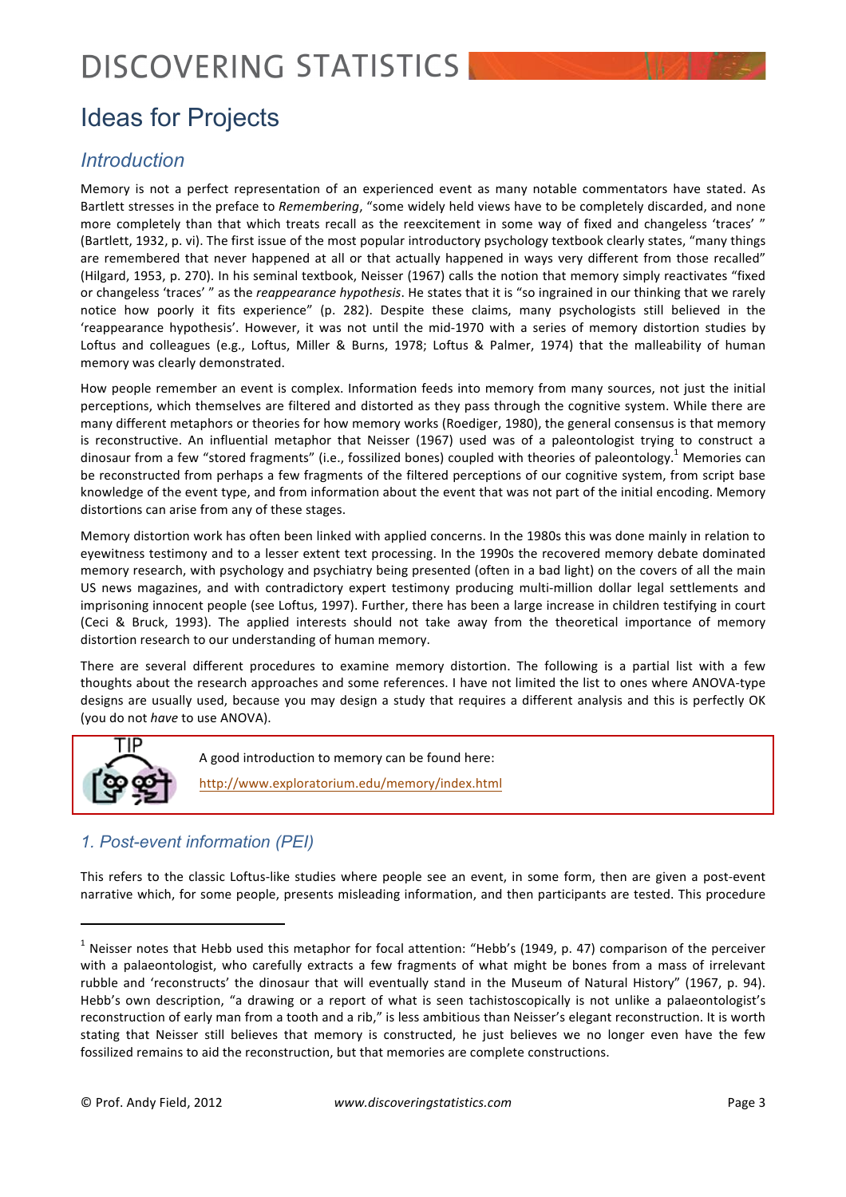# Ideas for Projects

## *Introduction*

Memory is not a perfect representation of an experienced event as many notable commentators have stated. As Bartlett stresses in the preface to *Remembering*, "some widely held views have to be completely discarded, and none more completely than that which treats recall as the reexcitement in some way of fixed and changeless 'traces' " (Bartlett, 1932, p. vi). The first issue of the most popular introductory psychology textbook clearly states, "many things are remembered that never happened at all or that actually happened in ways very different from those recalled" (Hilgard, 1953, p. 270). In his seminal textbook, Neisser (1967) calls the notion that memory simply reactivates "fixed or changeless 'traces' " as the *reappearance hypothesis*. He states that it is "so ingrained in our thinking that we rarely notice how poorly it fits experience" (p. 282). Despite these claims, many psychologists still believed in the 'reappearance hypothesis'. However, it was not until the mid-1970 with a series of memory distortion studies by Loftus and colleagues (e.g., Loftus, Miller & Burns, 1978; Loftus & Palmer, 1974) that the malleability of human memory was clearly demonstrated.

How people remember an event is complex. Information feeds into memory from many sources, not just the initial perceptions, which themselves are filtered and distorted as they pass through the cognitive system. While there are many different metaphors or theories for how memory works (Roediger, 1980), the general consensus is that memory is reconstructive. An influential metaphor that Neisser (1967) used was of a paleontologist trying to construct a dinosaur from a few "stored fragments" (i.e., fossilized bones) coupled with theories of paleontology.<sup>1</sup> Memories can be reconstructed from perhaps a few fragments of the filtered perceptions of our cognitive system, from script base knowledge of the event type, and from information about the event that was not part of the initial encoding. Memory distortions can arise from any of these stages.

Memory distortion work has often been linked with applied concerns. In the 1980s this was done mainly in relation to eyewitness testimony and to a lesser extent text processing. In the 1990s the recovered memory debate dominated memory research, with psychology and psychiatry being presented (often in a bad light) on the covers of all the main US news magazines, and with contradictory expert testimony producing multi-million dollar legal settlements and imprisoning innocent people (see Loftus, 1997). Further, there has been a large increase in children testifying in court (Ceci & Bruck, 1993). The applied interests should not take away from the theoretical importance of memory distortion research to our understanding of human memory.

There are several different procedures to examine memory distortion. The following is a partial list with a few thoughts about the research approaches and some references. I have not limited the list to ones where ANOVA-type designs are usually used, because you may design a study that requires a different analysis and this is perfectly OK (you do not *have* to use ANOVA).



## *1. Post-event information (PEI)*

!!!!!!!!!!!!!!!!!!!!!!!!!!!!!!!!!!!!!!!!!!!!!!!!!!!!!!!!!!!!!!!!!!

This refers to the classic Loftus-like studies where people see an event, in some form, then are given a post-event narrative which, for some people, presents misleading information, and then participants are tested. This procedure

 $1$  Neisser notes that Hebb used this metaphor for focal attention: "Hebb's (1949, p. 47) comparison of the perceiver with a palaeontologist, who carefully extracts a few fragments of what might be bones from a mass of irrelevant rubble and 'reconstructs' the dinosaur that will eventually stand in the Museum of Natural History" (1967, p. 94). Hebb's own description, "a drawing or a report of what is seen tachistoscopically is not unlike a palaeontologist's reconstruction of early man from a tooth and a rib," is less ambitious than Neisser's elegant reconstruction. It is worth stating that Neisser still believes that memory is constructed, he just believes we no longer even have the few fossilized remains to aid the reconstruction, but that memories are complete constructions.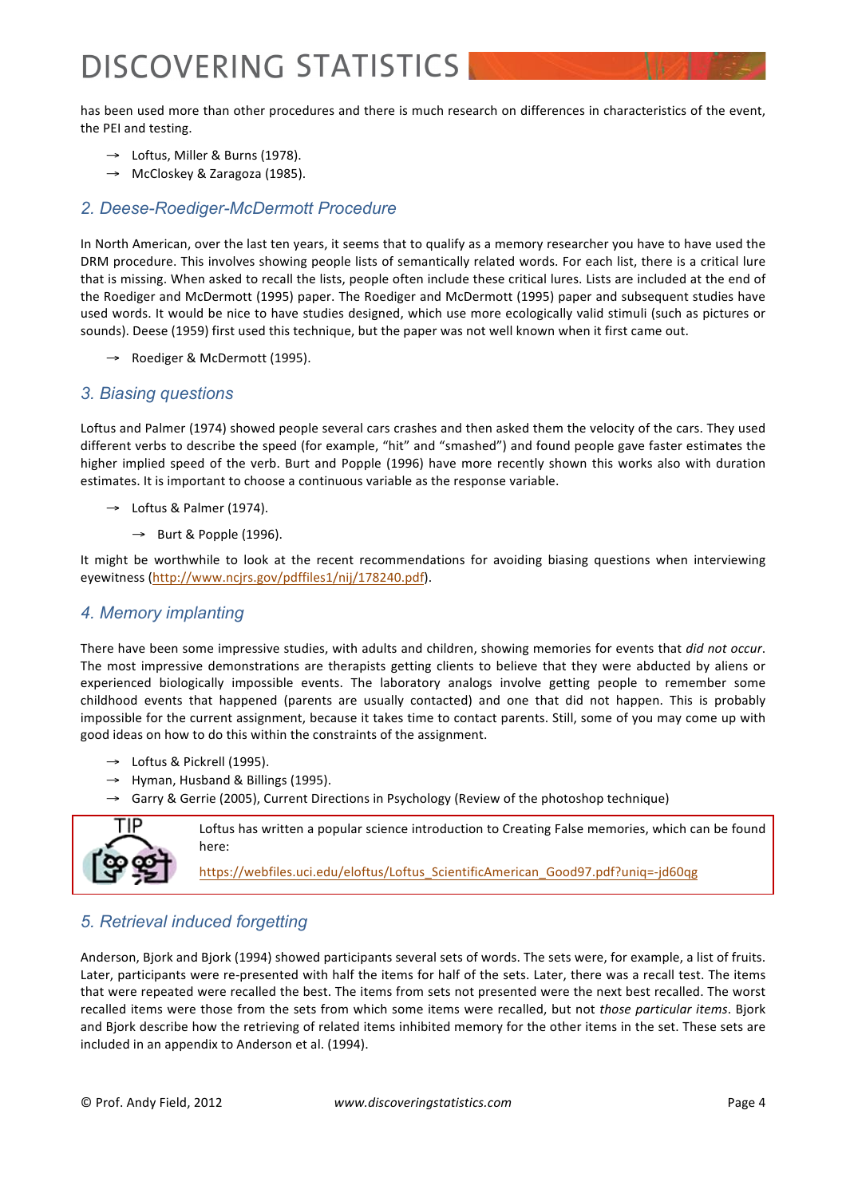has been used more than other procedures and there is much research on differences in characteristics of the event, the PEI and testing.

- $\rightarrow$  Loftus, Miller & Burns (1978).
- $\rightarrow$  McCloskey & Zaragoza (1985).

#### *2. Deese-Roediger-McDermott Procedure*

In North American, over the last ten years, it seems that to qualify as a memory researcher you have to have used the DRM procedure. This involves showing people lists of semantically related words. For each list, there is a critical lure that is missing. When asked to recall the lists, people often include these critical lures. Lists are included at the end of the Roediger and McDermott (1995) paper. The Roediger and McDermott (1995) paper and subsequent studies have used words. It would be nice to have studies designed, which use more ecologically valid stimuli (such as pictures or sounds). Deese (1959) first used this technique, but the paper was not well known when it first came out.

→ Roediger & McDermott (1995).

#### *3. Biasing questions*

Loftus and Palmer (1974) showed people several cars crashes and then asked them the velocity of the cars. They used different verbs to describe the speed (for example, "hit" and "smashed") and found people gave faster estimates the higher implied speed of the verb. Burt and Popple (1996) have more recently shown this works also with duration estimates. It is important to choose a continuous variable as the response variable.

- $\rightarrow$  Loftus & Palmer (1974).
	- $\rightarrow$  Burt & Popple (1996).

It might be worthwhile to look at the recent recommendations for avoiding biasing questions when interviewing eyewitness (http://www.ncjrs.gov/pdffiles1/nij/178240.pdf).

#### *4. Memory implanting*

There have been some impressive studies, with adults and children, showing memories for events that *did not occur*. The most impressive demonstrations are therapists getting clients to believe that they were abducted by aliens or experienced biologically impossible events. The laboratory analogs involve getting people to remember some childhood events that happened (parents are usually contacted) and one that did not happen. This is probably impossible for the current assignment, because it takes time to contact parents. Still, some of you may come up with good ideas on how to do this within the constraints of the assignment.

- → Loftus & Pickrell (1995).
- $\rightarrow$  Hyman, Husband & Billings (1995).
- → Garry & Gerrie (2005), Current Directions in Psychology (Review of the photoshop technique)



Loftus has written a popular science introduction to Creating False memories, which can be found here:

https://webfiles.uci.edu/eloftus/Loftus\_ScientificAmerican\_Good97.pdf?uniq=-jd60qg

### *5. Retrieval induced forgetting*

Anderson, Bjork and Bjork (1994) showed participants several sets of words. The sets were, for example, a list of fruits. Later, participants were re-presented with half the items for half of the sets. Later, there was a recall test. The items that were repeated were recalled the best. The items from sets not presented were the next best recalled. The worst recalled items were those from the sets from which some items were recalled, but not *those particular items*. Bjork and Bjork describe how the retrieving of related items inhibited memory for the other items in the set. These sets are included in an appendix to Anderson et al. (1994).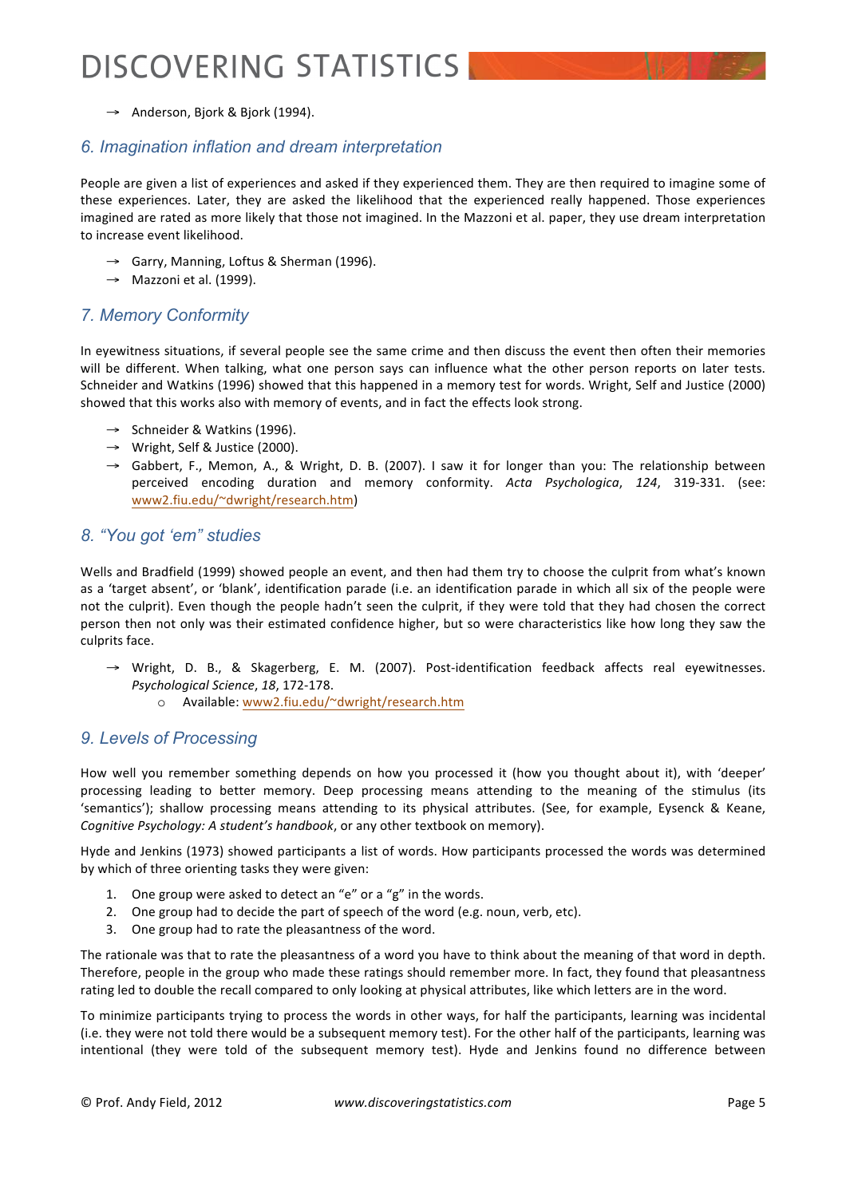→ Anderson, Bjork & Bjork (1994).

#### *6. Imagination inflation and dream interpretation*

People are given a list of experiences and asked if they experienced them. They are then required to imagine some of these experiences. Later, they are asked the likelihood that the experienced really happened. Those experiences imagined are rated as more likely that those not imagined. In the Mazzoni et al. paper, they use dream interpretation to increase event likelihood.

- → Garry, Manning, Loftus & Sherman (1996).
- $\rightarrow$  Mazzoni et al. (1999).

### *7. Memory Conformity*

In eyewitness situations, if several people see the same crime and then discuss the event then often their memories will be different. When talking, what one person says can influence what the other person reports on later tests. Schneider and Watkins (1996) showed that this happened in a memory test for words. Wright, Self and Justice (2000) showed that this works also with memory of events, and in fact the effects look strong.

- → Schneider & Watkins (1996).
- $\rightarrow$  Wright, Self & Justice (2000).
- $\rightarrow$  Gabbert, F., Memon, A., & Wright, D. B. (2007). I saw it for longer than you: The relationship between perceived encoding duration and memory conformity. Acta Psychologica, 124, 319-331. (see: www2.fiu.edu/~dwright/research.htm)

#### *8. "You got 'em" studies*

Wells and Bradfield (1999) showed people an event, and then had them try to choose the culprit from what's known as a 'target absent', or 'blank', identification parade (i.e. an identification parade in which all six of the people were not the culprit). Even though the people hadn't seen the culprit, if they were told that they had chosen the correct person then not only was their estimated confidence higher, but so were characteristics like how long they saw the culprits face.

- $\rightarrow$  Wright, D. B., & Skagerberg, E. M. (2007). Post-identification feedback affects real eyewitnesses. *Psychological Science, 18, 172-178.* 
	- o Available: www2.fiu.edu/~dwright/research.htm

#### *9. Levels of Processing*

How well you remember something depends on how you processed it (how you thought about it), with 'deeper' processing leading to better memory. Deep processing means attending to the meaning of the stimulus (its 'semantics'); shallow processing means attending to its physical attributes. (See, for example, Eysenck & Keane, *Cognitive Psychology: A student's handbook, or any other textbook on memory).* 

Hyde and Jenkins (1973) showed participants a list of words. How participants processed the words was determined by which of three orienting tasks they were given:

- 1. One group were asked to detect an "e" or a "g" in the words.
- 2. One group had to decide the part of speech of the word (e.g. noun, verb, etc).
- 3. One group had to rate the pleasantness of the word.

The rationale was that to rate the pleasantness of a word you have to think about the meaning of that word in depth. Therefore, people in the group who made these ratings should remember more. In fact, they found that pleasantness rating led to double the recall compared to only looking at physical attributes, like which letters are in the word.

To minimize participants trying to process the words in other ways, for half the participants, learning was incidental (i.e. they were not told there would be a subsequent memory test). For the other half of the participants, learning was intentional (they were told of the subsequent memory test). Hyde and Jenkins found no difference between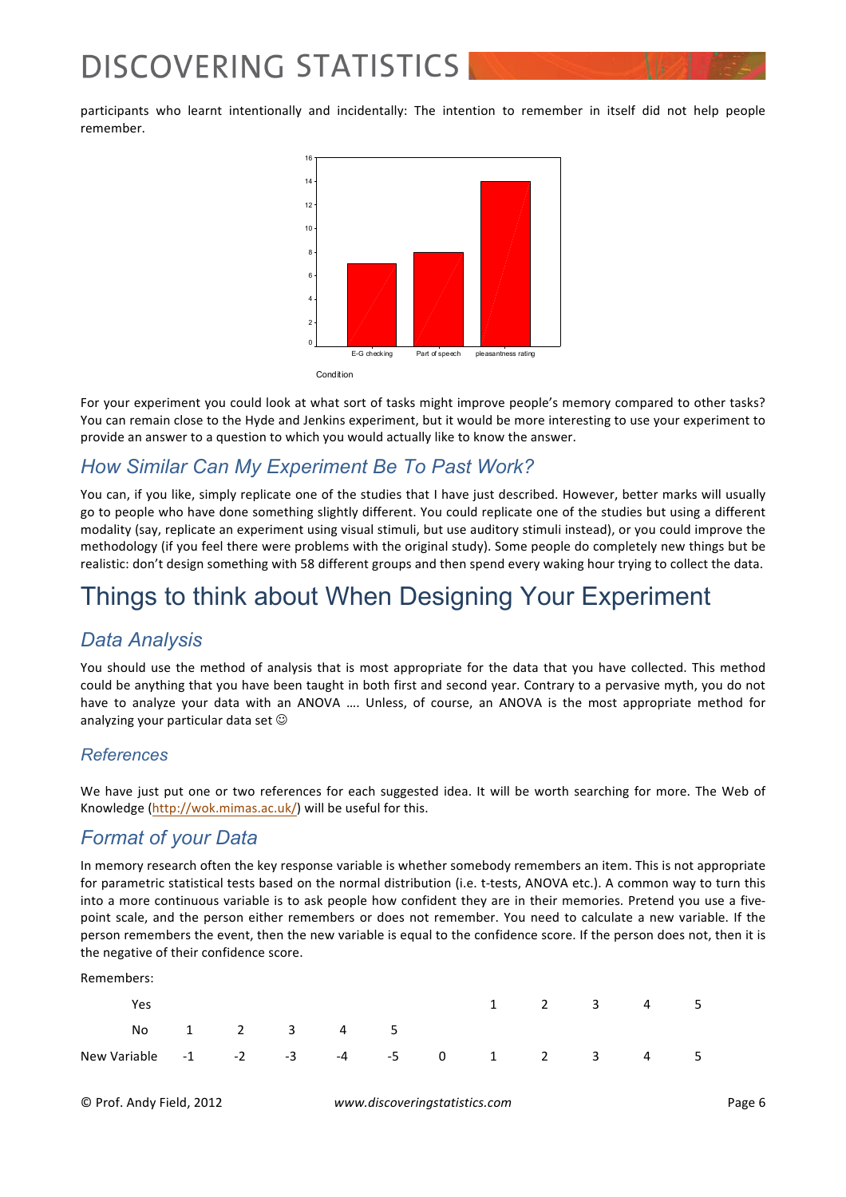participants who learnt intentionally and incidentally: The intention to remember in itself did not help people remember.



**Condition** 

For your experiment you could look at what sort of tasks might improve people's memory compared to other tasks? You can remain close to the Hyde and Jenkins experiment, but it would be more interesting to use your experiment to provide an answer to a question to which you would actually like to know the answer.

## *How Similar Can My Experiment Be To Past Work?*

You can, if you like, simply replicate one of the studies that I have just described. However, better marks will usually go to people who have done something slightly different. You could replicate one of the studies but using a different modality (say, replicate an experiment using visual stimuli, but use auditory stimuli instead), or you could improve the methodology (if you feel there were problems with the original study). Some people do completely new things but be realistic: don't design something with 58 different groups and then spend every waking hour trying to collect the data.

# Things to think about When Designing Your Experiment

## *Data Analysis*

You should use the method of analysis that is most appropriate for the data that you have collected. This method could be anything that you have been taught in both first and second year. Contrary to a pervasive myth, you do not have to analyze your data with an ANOVA .... Unless, of course, an ANOVA is the most appropriate method for analyzing your particular data set  $\odot$ 

### *References*

We have just put one or two references for each suggested idea. It will be worth searching for more. The Web of Knowledge (http://wok.mimas.ac.uk/) will be useful for this.

## *Format of your Data*

In memory research often the key response variable is whether somebody remembers an item. This is not appropriate for parametric statistical tests based on the normal distribution (i.e. t-tests, ANOVA etc.). A common way to turn this into a more continuous variable is to ask people how confident they are in their memories. Pretend you use a fivepoint scale, and the person either remembers or does not remember. You need to calculate a new variable. If the person remembers the event, then the new variable is equal to the confidence score. If the person does not, then it is the negative of their confidence score.

Remembers:

| Yes                                     |              |  |  |  | 1 2 3 4 5 |  |
|-----------------------------------------|--------------|--|--|--|-----------|--|
|                                         | No 1 2 3 4 5 |  |  |  |           |  |
| New Variable -1 -2 -3 -4 -5 0 1 2 3 4 5 |              |  |  |  |           |  |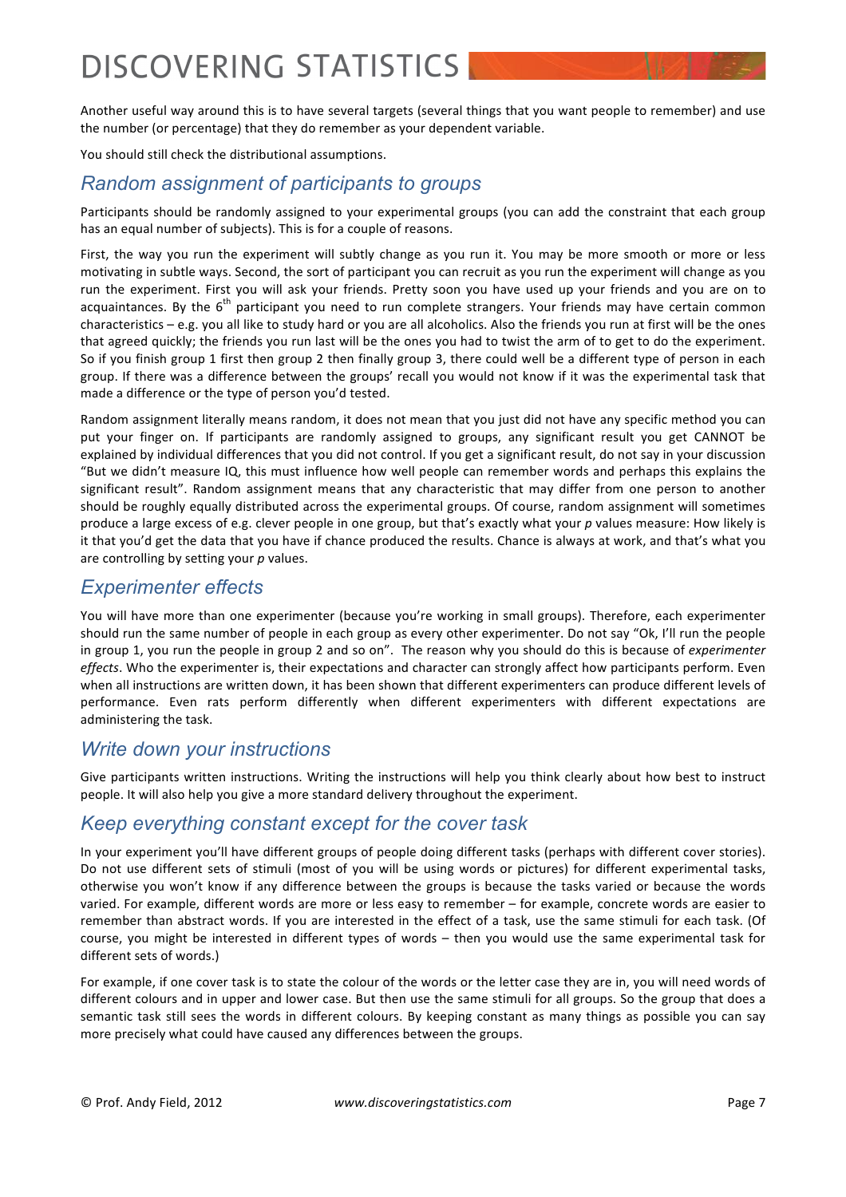Another useful way around this is to have several targets (several things that you want people to remember) and use the number (or percentage) that they do remember as your dependent variable.

You should still check the distributional assumptions.

## *Random assignment of participants to groups*

Participants should be randomly assigned to your experimental groups (you can add the constraint that each group has an equal number of subjects). This is for a couple of reasons.

First, the way you run the experiment will subtly change as you run it. You may be more smooth or more or less motivating in subtle ways. Second, the sort of participant you can recruit as you run the experiment will change as you run the experiment. First you will ask your friends. Pretty soon you have used up your friends and you are on to acquaintances. By the  $6<sup>th</sup>$  participant you need to run complete strangers. Your friends may have certain common characteristics – e.g. you all like to study hard or you are all alcoholics. Also the friends you run at first will be the ones that agreed quickly; the friends you run last will be the ones you had to twist the arm of to get to do the experiment. So if you finish group 1 first then group 2 then finally group 3, there could well be a different type of person in each group. If there was a difference between the groups' recall you would not know if it was the experimental task that made a difference or the type of person you'd tested.

Random assignment literally means random, it does not mean that you just did not have any specific method you can put your finger on. If participants are randomly assigned to groups, any significant result you get CANNOT be explained by individual differences that you did not control. If you get a significant result, do not say in your discussion "But we didn't measure IQ, this must influence how well people can remember words and perhaps this explains the significant result". Random assignment means that any characteristic that may differ from one person to another should be roughly equally distributed across the experimental groups. Of course, random assignment will sometimes produce a large excess of e.g. clever people in one group, but that's exactly what your p values measure: How likely is it that you'd get the data that you have if chance produced the results. Chance is always at work, and that's what you are controlling by setting your p values.

### *Experimenter effects*

You will have more than one experimenter (because you're working in small groups). Therefore, each experimenter should run the same number of people in each group as every other experimenter. Do not say "Ok, I'll run the people in group 1, you run the people in group 2 and so on". The reason why you should do this is because of *experimenter effects*. Who the experimenter is, their expectations and character can strongly affect how participants perform. Even when all instructions are written down, it has been shown that different experimenters can produce different levels of performance. Even rats perform differently when different experimenters with different expectations are administering the task.

### *Write down your instructions*

Give participants written instructions. Writing the instructions will help you think clearly about how best to instruct people. It will also help you give a more standard delivery throughout the experiment.

### *Keep everything constant except for the cover task*

In your experiment you'll have different groups of people doing different tasks (perhaps with different cover stories). Do not use different sets of stimuli (most of you will be using words or pictures) for different experimental tasks, otherwise you won't know if any difference between the groups is because the tasks varied or because the words varied. For example, different words are more or less easy to remember – for example, concrete words are easier to remember than abstract words. If you are interested in the effect of a task, use the same stimuli for each task. (Of course, you might be interested in different types of words – then you would use the same experimental task for different sets of words.)

For example, if one cover task is to state the colour of the words or the letter case they are in, you will need words of different colours and in upper and lower case. But then use the same stimuli for all groups. So the group that does a semantic task still sees the words in different colours. By keeping constant as many things as possible you can say more precisely what could have caused any differences between the groups.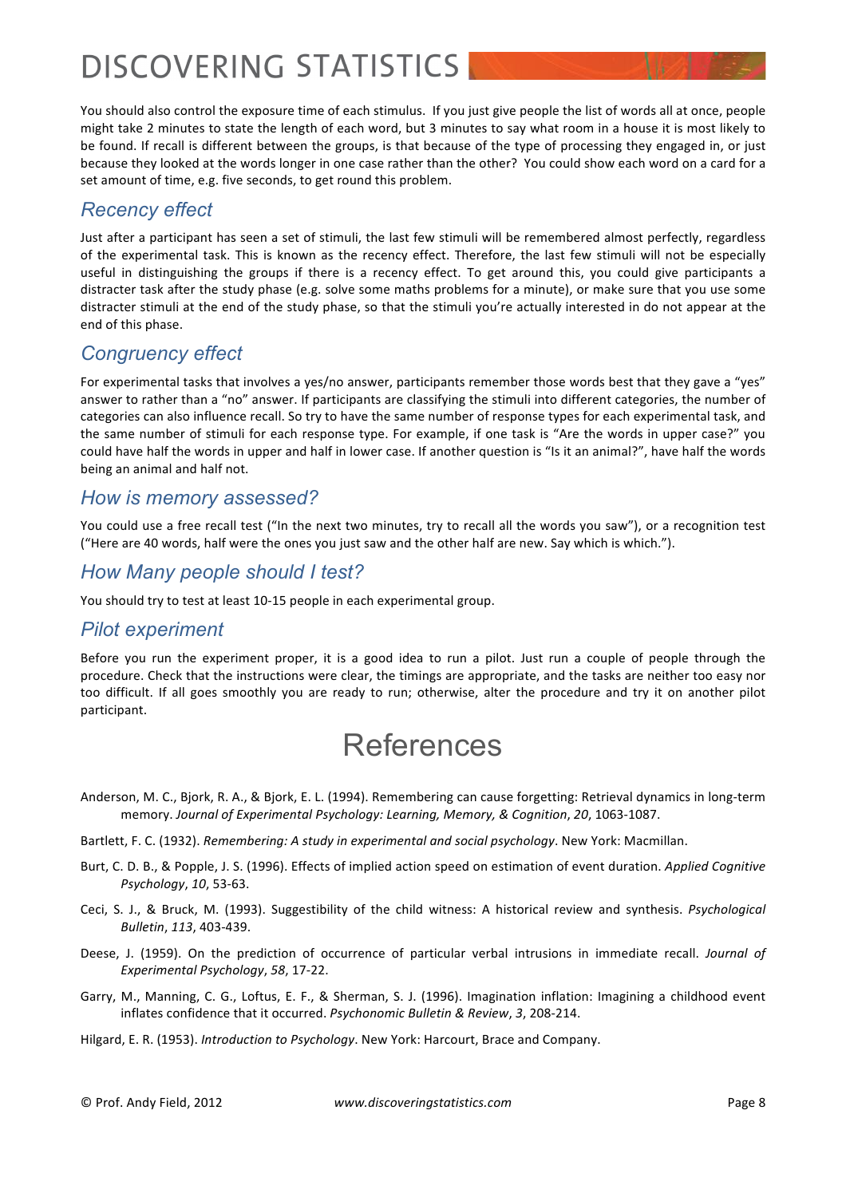You should also control the exposure time of each stimulus. If you just give people the list of words all at once, people might take 2 minutes to state the length of each word, but 3 minutes to say what room in a house it is most likely to be found. If recall is different between the groups, is that because of the type of processing they engaged in, or just because they looked at the words longer in one case rather than the other? You could show each word on a card for a set amount of time, e.g. five seconds, to get round this problem.

## *Recency effect*

Just after a participant has seen a set of stimuli, the last few stimuli will be remembered almost perfectly, regardless of the experimental task. This is known as the recency effect. Therefore, the last few stimuli will not be especially useful in distinguishing the groups if there is a recency effect. To get around this, you could give participants a distracter task after the study phase (e.g. solve some maths problems for a minute), or make sure that you use some distracter stimuli at the end of the study phase, so that the stimuli you're actually interested in do not appear at the end of this phase.

## *Congruency effect*

For experimental tasks that involves a yes/no answer, participants remember those words best that they gave a "yes" answer to rather than a "no" answer. If participants are classifying the stimuli into different categories, the number of categories can also influence recall. So try to have the same number of response types for each experimental task, and the same number of stimuli for each response type. For example, if one task is "Are the words in upper case?" you could have half the words in upper and half in lower case. If another question is "Is it an animal?", have half the words being an animal and half not.

### *How is memory assessed?*

You could use a free recall test ("In the next two minutes, try to recall all the words you saw"), or a recognition test ("Here are 40 words, half were the ones you just saw and the other half are new. Say which is which.").

### *How Many people should I test?*

You should try to test at least 10-15 people in each experimental group.

### *Pilot experiment*

Before you run the experiment proper, it is a good idea to run a pilot. Just run a couple of people through the procedure. Check that the instructions were clear, the timings are appropriate, and the tasks are neither too easy nor too difficult. If all goes smoothly you are ready to run; otherwise, alter the procedure and try it on another pilot participant.

# References

- Anderson, M. C., Bjork, R. A., & Bjork, E. L. (1994). Remembering can cause forgetting: Retrieval dynamics in long-term memory. Journal of Experimental Psychology: Learning, Memory, & Cognition, 20, 1063-1087.
- Bartlett, F. C. (1932). *Remembering: A study in experimental and social psychology*. New York: Macmillan.
- Burt, C. D. B., & Popple, J. S. (1996). Effects of implied action speed on estimation of event duration. *Applied Cognitive Psychology*, 10, 53-63.
- Ceci, S. J., & Bruck, M. (1993). Suggestibility of the child witness: A historical review and synthesis. *Psychological Bulletin*, 113, 403-439.
- Deese, J. (1959). On the prediction of occurrence of particular verbal intrusions in immediate recall. *Journal of Experimental Psychology, 58, 17-22.*
- Garry, M., Manning, C. G., Loftus, E. F., & Sherman, S. J. (1996). Imagination inflation: Imagining a childhood event inflates confidence that it occurred. *Psychonomic Bulletin & Review*, 3, 208-214.

Hilgard, E. R. (1953). *Introduction to Psychology*. New York: Harcourt, Brace and Company.